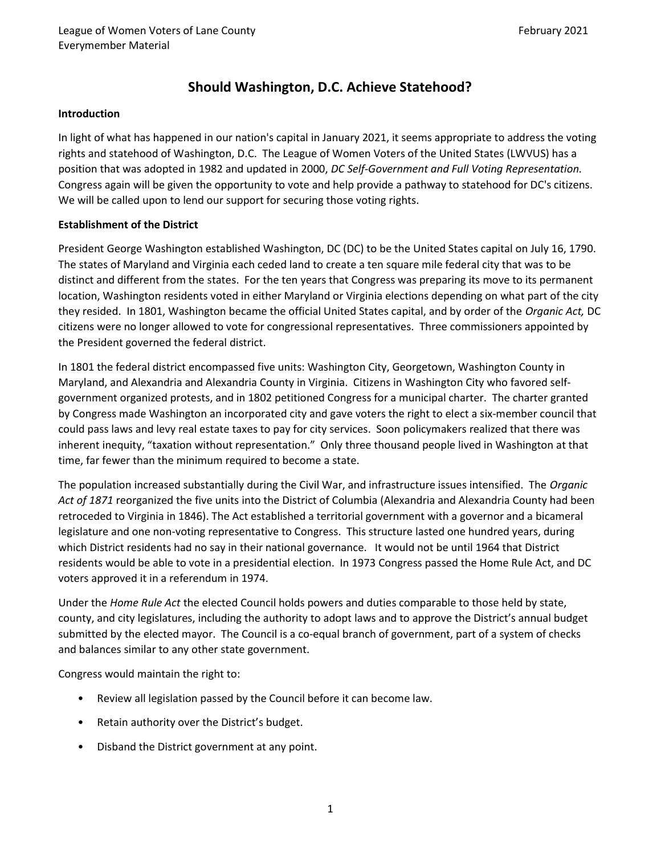# Should Washington, D.C. Achieve Statehood?

#### Introduction

In light of what has happened in our nation's capital in January 2021, it seems appropriate to address the voting rights and statehood of Washington, D.C. The League of Women Voters of the United States (LWVUS) has a position that was adopted in 1982 and updated in 2000, DC Self-Government and Full Voting Representation. Congress again will be given the opportunity to vote and help provide a pathway to statehood for DC's citizens. We will be called upon to lend our support for securing those voting rights.

#### Establishment of the District

President George Washington established Washington, DC (DC) to be the United States capital on July 16, 1790. The states of Maryland and Virginia each ceded land to create a ten square mile federal city that was to be distinct and different from the states. For the ten years that Congress was preparing its move to its permanent location, Washington residents voted in either Maryland or Virginia elections depending on what part of the city they resided. In 1801, Washington became the official United States capital, and by order of the Organic Act, DC citizens were no longer allowed to vote for congressional representatives. Three commissioners appointed by the President governed the federal district.

In 1801 the federal district encompassed five units: Washington City, Georgetown, Washington County in Maryland, and Alexandria and Alexandria County in Virginia. Citizens in Washington City who favored selfgovernment organized protests, and in 1802 petitioned Congress for a municipal charter. The charter granted by Congress made Washington an incorporated city and gave voters the right to elect a six-member council that could pass laws and levy real estate taxes to pay for city services. Soon policymakers realized that there was inherent inequity, "taxation without representation." Only three thousand people lived in Washington at that time, far fewer than the minimum required to become a state.

The population increased substantially during the Civil War, and infrastructure issues intensified. The Organic Act of 1871 reorganized the five units into the District of Columbia (Alexandria and Alexandria County had been retroceded to Virginia in 1846). The Act established a territorial government with a governor and a bicameral legislature and one non-voting representative to Congress. This structure lasted one hundred years, during which District residents had no say in their national governance. It would not be until 1964 that District residents would be able to vote in a presidential election. In 1973 Congress passed the Home Rule Act, and DC voters approved it in a referendum in 1974.

Under the Home Rule Act the elected Council holds powers and duties comparable to those held by state, county, and city legislatures, including the authority to adopt laws and to approve the District's annual budget submitted by the elected mayor. The Council is a co-equal branch of government, part of a system of checks and balances similar to any other state government.

Congress would maintain the right to:

- Review all legislation passed by the Council before it can become law.
- Retain authority over the District's budget.
- Disband the District government at any point.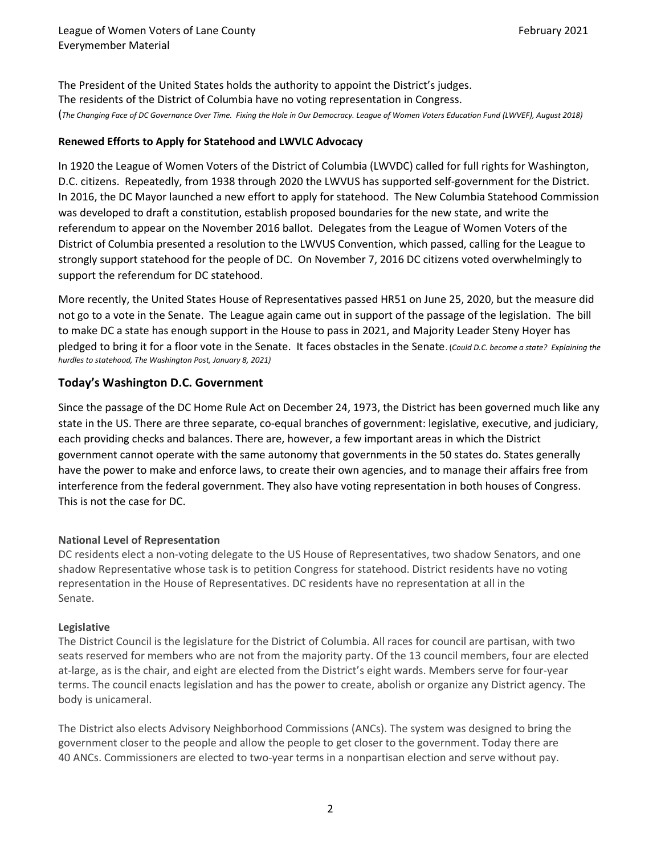The President of the United States holds the authority to appoint the District's judges. The residents of the District of Columbia have no voting representation in Congress. (The Changing Face of DC Governance Over Time. Fixing the Hole in Our Democracy. League of Women Voters Education Fund (LWVEF), August 2018)

#### Renewed Efforts to Apply for Statehood and LWVLC Advocacy

In 1920 the League of Women Voters of the District of Columbia (LWVDC) called for full rights for Washington, D.C. citizens. Repeatedly, from 1938 through 2020 the LWVUS has supported self-government for the District. In 2016, the DC Mayor launched a new effort to apply for statehood. The New Columbia Statehood Commission was developed to draft a constitution, establish proposed boundaries for the new state, and write the referendum to appear on the November 2016 ballot. Delegates from the League of Women Voters of the District of Columbia presented a resolution to the LWVUS Convention, which passed, calling for the League to strongly support statehood for the people of DC. On November 7, 2016 DC citizens voted overwhelmingly to support the referendum for DC statehood.

More recently, the United States House of Representatives passed HR51 on June 25, 2020, but the measure did not go to a vote in the Senate. The League again came out in support of the passage of the legislation. The bill to make DC a state has enough support in the House to pass in 2021, and Majority Leader Steny Hoyer has pledged to bring it for a floor vote in the Senate. It faces obstacles in the Senate. (Could D.C. become a state? Explaining the hurdles to statehood, The Washington Post, January 8, 2021)

## Today's Washington D.C. Government

Since the passage of the DC Home Rule Act on December 24, 1973, the District has been governed much like any state in the US. There are three separate, co-equal branches of government: legislative, executive, and judiciary, each providing checks and balances. There are, however, a few important areas in which the District government cannot operate with the same autonomy that governments in the 50 states do. States generally have the power to make and enforce laws, to create their own agencies, and to manage their affairs free from interference from the federal government. They also have voting representation in both houses of Congress. This is not the case for DC.

#### National Level of Representation

DC residents elect a non-voting delegate to the US House of Representatives, two shadow Senators, and one shadow Representative whose task is to petition Congress for statehood. District residents have no voting representation in the House of Representatives. DC residents have no representation at all in the Senate.

#### Legislative

The District Council is the legislature for the District of Columbia. All races for council are partisan, with two seats reserved for members who are not from the majority party. Of the 13 council members, four are elected at-large, as is the chair, and eight are elected from the District's eight wards. Members serve for four-year terms. The council enacts legislation and has the power to create, abolish or organize any District agency. The body is unicameral.

The District also elects Advisory Neighborhood Commissions (ANCs). The system was designed to bring the government closer to the people and allow the people to get closer to the government. Today there are 40 ANCs. Commissioners are elected to two-year terms in a nonpartisan election and serve without pay.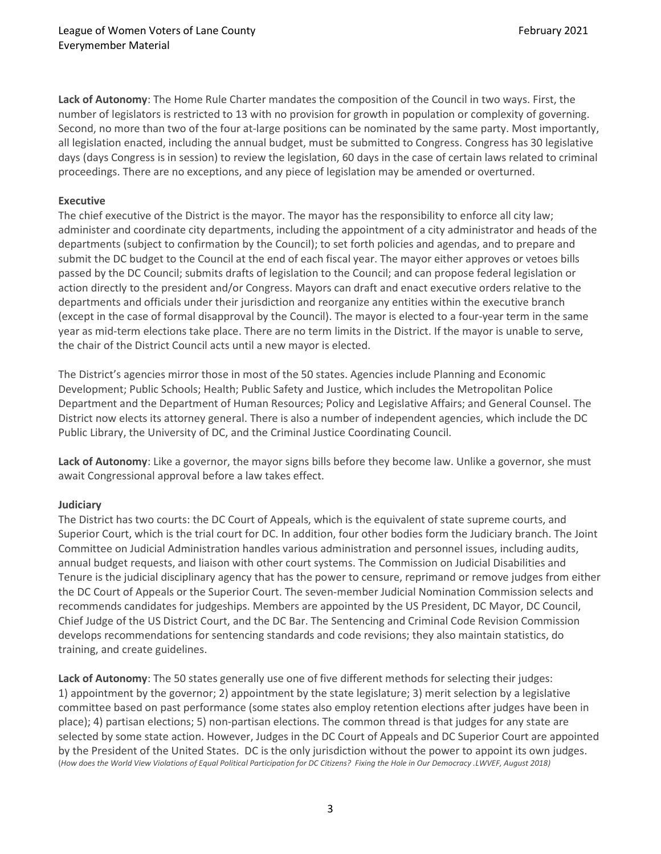Lack of Autonomy: The Home Rule Charter mandates the composition of the Council in two ways. First, the number of legislators is restricted to 13 with no provision for growth in population or complexity of governing. Second, no more than two of the four at-large positions can be nominated by the same party. Most importantly, all legislation enacted, including the annual budget, must be submitted to Congress. Congress has 30 legislative days (days Congress is in session) to review the legislation, 60 days in the case of certain laws related to criminal proceedings. There are no exceptions, and any piece of legislation may be amended or overturned.

#### Executive

The chief executive of the District is the mayor. The mayor has the responsibility to enforce all city law; administer and coordinate city departments, including the appointment of a city administrator and heads of the departments (subject to confirmation by the Council); to set forth policies and agendas, and to prepare and submit the DC budget to the Council at the end of each fiscal year. The mayor either approves or vetoes bills passed by the DC Council; submits drafts of legislation to the Council; and can propose federal legislation or action directly to the president and/or Congress. Mayors can draft and enact executive orders relative to the departments and officials under their jurisdiction and reorganize any entities within the executive branch (except in the case of formal disapproval by the Council). The mayor is elected to a four-year term in the same year as mid-term elections take place. There are no term limits in the District. If the mayor is unable to serve, the chair of the District Council acts until a new mayor is elected.

The District's agencies mirror those in most of the 50 states. Agencies include Planning and Economic Development; Public Schools; Health; Public Safety and Justice, which includes the Metropolitan Police Department and the Department of Human Resources; Policy and Legislative Affairs; and General Counsel. The District now elects its attorney general. There is also a number of independent agencies, which include the DC Public Library, the University of DC, and the Criminal Justice Coordinating Council.

Lack of Autonomy: Like a governor, the mayor signs bills before they become law. Unlike a governor, she must await Congressional approval before a law takes effect.

#### **Judiciary**

The District has two courts: the DC Court of Appeals, which is the equivalent of state supreme courts, and Superior Court, which is the trial court for DC. In addition, four other bodies form the Judiciary branch. The Joint Committee on Judicial Administration handles various administration and personnel issues, including audits, annual budget requests, and liaison with other court systems. The Commission on Judicial Disabilities and Tenure is the judicial disciplinary agency that has the power to censure, reprimand or remove judges from either the DC Court of Appeals or the Superior Court. The seven-member Judicial Nomination Commission selects and recommends candidates for judgeships. Members are appointed by the US President, DC Mayor, DC Council, Chief Judge of the US District Court, and the DC Bar. The Sentencing and Criminal Code Revision Commission develops recommendations for sentencing standards and code revisions; they also maintain statistics, do training, and create guidelines.

Lack of Autonomy: The 50 states generally use one of five different methods for selecting their judges: 1) appointment by the governor; 2) appointment by the state legislature; 3) merit selection by a legislative committee based on past performance (some states also employ retention elections after judges have been in place); 4) partisan elections; 5) non-partisan elections. The common thread is that judges for any state are selected by some state action. However, Judges in the DC Court of Appeals and DC Superior Court are appointed by the President of the United States. DC is the only jurisdiction without the power to appoint its own judges. (How does the World View Violations of Equal Political Participation for DC Citizens? Fixing the Hole in Our Democracy .LWVEF, August 2018)